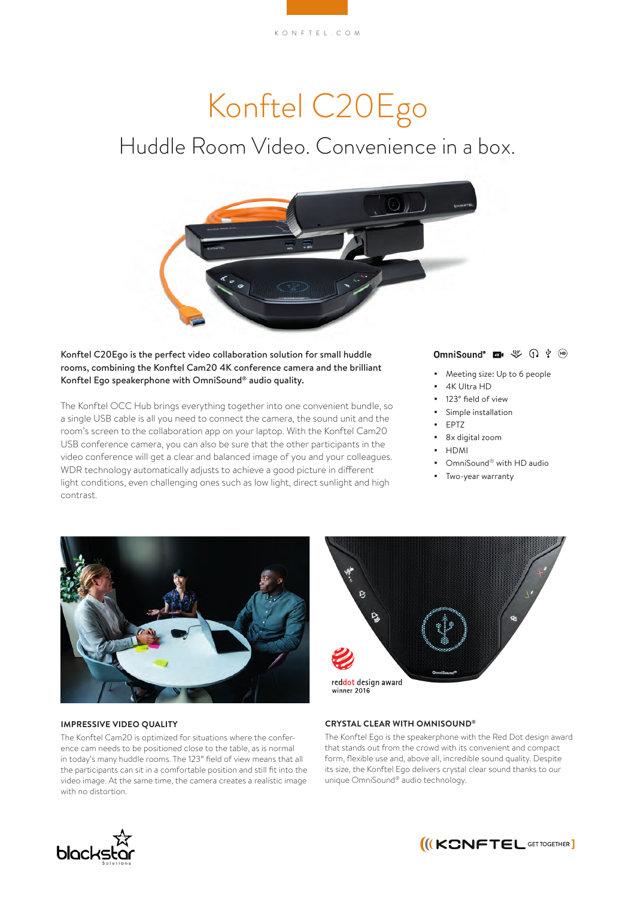# Konftel C20Ego Huddle Room Video. Convenience in a box.

Konftel C20Ego is the perfect video collaboration solution for small huddle rooms, combining the Konftel Cam20 4K conference camera and the brilliant Konftel Ego speakerphone with OmniSound® audio quality.

The Konftel OCC Hub brings everything together into one convenient bundle, so a single USB cable is all you need to connect the camera, the sound unit and the room's screen to the collaboration app on your laptop. With the Konftel Cam20 USB conference camera, you can also be sure that the other participants in the video conference will get a clear and balanced image of you and your colleagues. WDR technology automatically adjusts to achieve a good picture in different light conditions, even challenging ones such as low light, direct sunlight and high contrast.

# OmniSound<sup>®</sup> **Exactle**  $\overset{123^*}{\gg}$   $\overset{1}{\downarrow}$   $\overset{1}{\downarrow}$   $\overset{1}{\ll}$

- Meeting size: Up to 6 people
- 4K Ultra HD
- 123° field of view
- Simple installation
- EPTZ
- 8x digital zoom
- $\bullet$  HDMI
- OmniSound<sup>®</sup> with HD audio
- Two-year warranty



# **IMPRESSIVE VIDEO QUALITY**

The Konftel Cam20 is optimized for situations where the conference cam needs to be positioned close to the table, as is normal in today's many huddle rooms. The 123° field of view means that all the participants can sit in a comfortable position and still fit into the video image. At the same time, the camera creates a realistic image with no distortion.



# **CRYSTAL CLEAR WITH OMNISOUND®**

The Konftel Ego is the speakerphone with the Red Dot design award that stands out from the crowd with its convenient and compact form, flexible use and, above all, incredible sound quality. Despite its size, the Konftel Ego delivers crystal clear sound thanks to our unique OmniSound® audio technology.